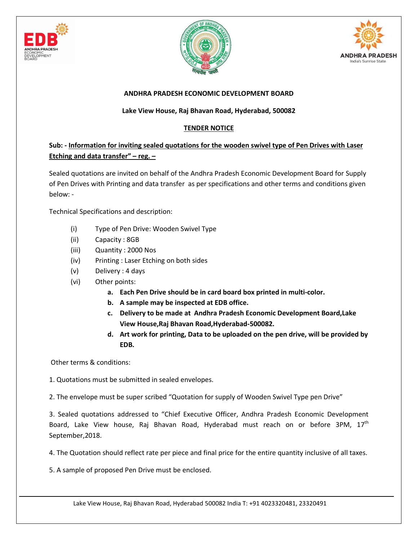





## **ANDHRA PRADESH ECONOMIC DEVELOPMENT BOARD**

## **Lake View House, Raj Bhavan Road, Hyderabad, 500082**

## **TENDER NOTICE**

## **Sub: - Information for inviting sealed quotations for the wooden swivel type of Pen Drives with Laser Etching and data transfer" – reg. –**

Sealed quotations are invited on behalf of the Andhra Pradesh Economic Development Board for Supply of Pen Drives with Printing and data transfer as per specifications and other terms and conditions given below: -

Technical Specifications and description:

- (i) Type of Pen Drive: Wooden Swivel Type
- (ii) Capacity : 8GB
- (iii) Quantity : 2000 Nos
- (iv) Printing : Laser Etching on both sides
- (v) Delivery : 4 days
- (vi) Other points:
	- **a. Each Pen Drive should be in card board box printed in multi-color.**
	- **b. A sample may be inspected at EDB office.**
	- **c. Delivery to be made at Andhra Pradesh Economic Development Board,Lake View House,Raj Bhavan Road,Hyderabad-500082.**
	- **d. Art work for printing, Data to be uploaded on the pen drive, will be provided by EDB.**

Other terms & conditions:

1. Quotations must be submitted in sealed envelopes.

2. The envelope must be super scribed "Quotation for supply of Wooden Swivel Type pen Drive"

3. Sealed quotations addressed to "Chief Executive Officer, Andhra Pradesh Economic Development Board, Lake View house, Raj Bhavan Road, Hyderabad must reach on or before 3PM, 17<sup>th</sup> September,2018.

4. The Quotation should reflect rate per piece and final price for the entire quantity inclusive of all taxes.

5. A sample of proposed Pen Drive must be enclosed.

Lake View House, Raj Bhavan Road, Hyderabad 500082 India T: +91 4023320481, 23320491